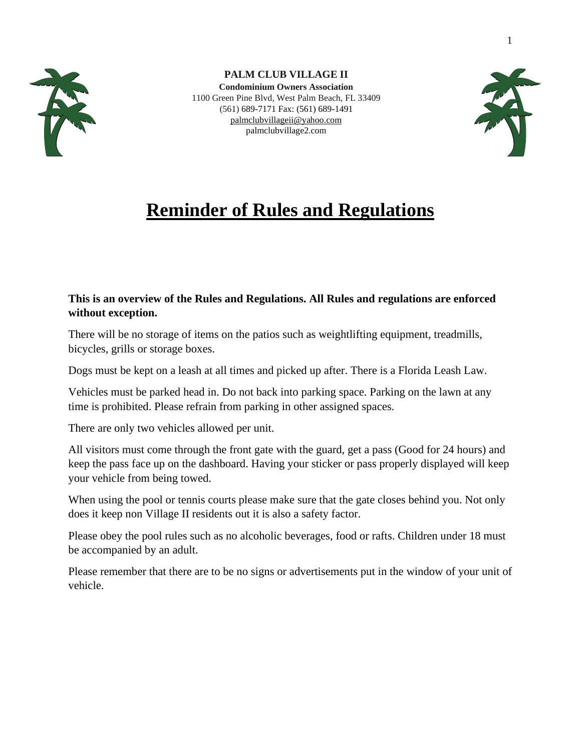

**PALM CLUB VILLAGE II Condominium Owners Association** 1100 Green Pine Blvd, West Palm Beach, FL 33409 (561) 689-7171 Fax: (561) 689-1491 [palmclubvillageii@yahoo.com](mailto:palmclubvillageii@yahoo.com) palmclubvillage2.com



# **Reminder of Rules and Regulations**

# **This is an overview of the Rules and Regulations. All Rules and regulations are enforced without exception.**

There will be no storage of items on the patios such as weightlifting equipment, treadmills, bicycles, grills or storage boxes.

Dogs must be kept on a leash at all times and picked up after. There is a Florida Leash Law.

Vehicles must be parked head in. Do not back into parking space. Parking on the lawn at any time is prohibited. Please refrain from parking in other assigned spaces.

There are only two vehicles allowed per unit.

All visitors must come through the front gate with the guard, get a pass (Good for 24 hours) and keep the pass face up on the dashboard. Having your sticker or pass properly displayed will keep your vehicle from being towed.

When using the pool or tennis courts please make sure that the gate closes behind you. Not only does it keep non Village II residents out it is also a safety factor.

Please obey the pool rules such as no alcoholic beverages, food or rafts. Children under 18 must be accompanied by an adult.

Please remember that there are to be no signs or advertisements put in the window of your unit of vehicle.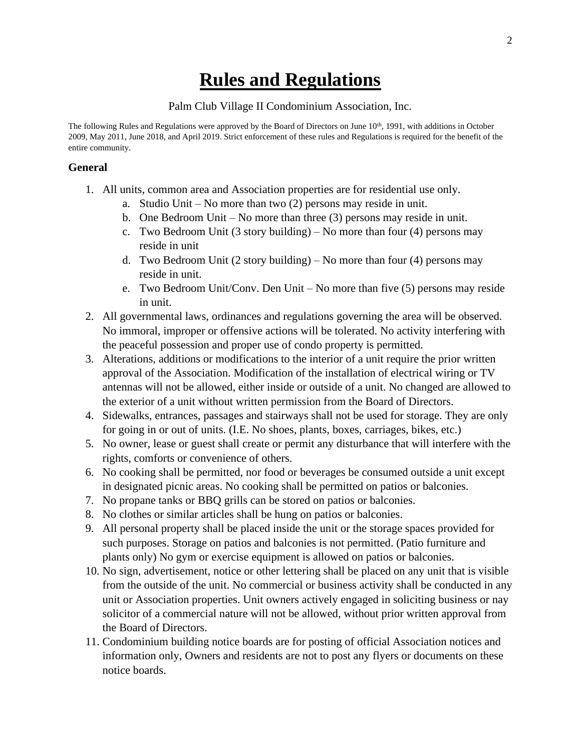# **Rules and Regulations**

#### Palm Club Village II Condominium Association, Inc.

The following Rules and Regulations were approved by the Board of Directors on June 10<sup>th</sup>, 1991, with additions in October 2009, May 2011, June 2018, and April 2019. Strict enforcement of these rules and Regulations is required for the benefit of the entire community.

#### **General**

- 1. All units, common area and Association properties are for residential use only.
	- a. Studio Unit No more than two (2) persons may reside in unit.
	- b. One Bedroom Unit No more than three (3) persons may reside in unit.
	- c. Two Bedroom Unit (3 story building) No more than four (4) persons may reside in unit
	- d. Two Bedroom Unit  $(2 \text{ story building}) \text{No more than four (4) persons may}$ reside in unit.
	- e. Two Bedroom Unit/Conv. Den Unit No more than five (5) persons may reside in unit.
- 2. All governmental laws, ordinances and regulations governing the area will be observed. No immoral, improper or offensive actions will be tolerated. No activity interfering with the peaceful possession and proper use of condo property is permitted.
- 3. Alterations, additions or modifications to the interior of a unit require the prior written approval of the Association. Modification of the installation of electrical wiring or TV antennas will not be allowed, either inside or outside of a unit. No changed are allowed to the exterior of a unit without written permission from the Board of Directors.
- 4. Sidewalks, entrances, passages and stairways shall not be used for storage. They are only for going in or out of units. (I.E. No shoes, plants, boxes, carriages, bikes, etc.)
- 5. No owner, lease or guest shall create or permit any disturbance that will interfere with the rights, comforts or convenience of others.
- 6. No cooking shall be permitted, nor food or beverages be consumed outside a unit except in designated picnic areas. No cooking shall be permitted on patios or balconies.
- 7. No propane tanks or BBQ grills can be stored on patios or balconies.
- 8. No clothes or similar articles shall be hung on patios or balconies.
- 9. All personal property shall be placed inside the unit or the storage spaces provided for such purposes. Storage on patios and balconies is not permitted. (Patio furniture and plants only) No gym or exercise equipment is allowed on patios or balconies.
- 10. No sign, advertisement, notice or other lettering shall be placed on any unit that is visible from the outside of the unit. No commercial or business activity shall be conducted in any unit or Association properties. Unit owners actively engaged in soliciting business or nay solicitor of a commercial nature will not be allowed, without prior written approval from the Board of Directors.
- 11. Condominium building notice boards are for posting of official Association notices and information only, Owners and residents are not to post any flyers or documents on these notice boards.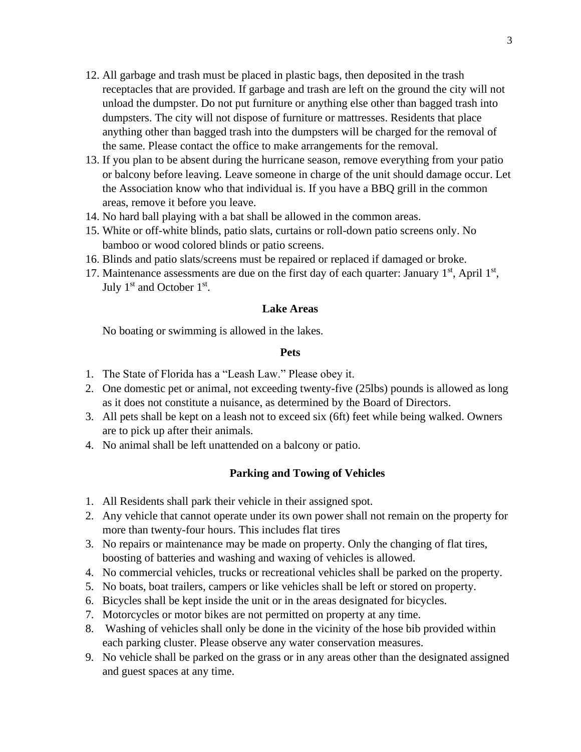- 12. All garbage and trash must be placed in plastic bags, then deposited in the trash receptacles that are provided. If garbage and trash are left on the ground the city will not unload the dumpster. Do not put furniture or anything else other than bagged trash into dumpsters. The city will not dispose of furniture or mattresses. Residents that place anything other than bagged trash into the dumpsters will be charged for the removal of the same. Please contact the office to make arrangements for the removal.
- 13. If you plan to be absent during the hurricane season, remove everything from your patio or balcony before leaving. Leave someone in charge of the unit should damage occur. Let the Association know who that individual is. If you have a BBQ grill in the common areas, remove it before you leave.
- 14. No hard ball playing with a bat shall be allowed in the common areas.
- 15. White or off-white blinds, patio slats, curtains or roll-down patio screens only. No bamboo or wood colored blinds or patio screens.
- 16. Blinds and patio slats/screens must be repaired or replaced if damaged or broke.
- 17. Maintenance assessments are due on the first day of each quarter: January  $1<sup>st</sup>$ , April  $1<sup>st</sup>$ , July  $1<sup>st</sup>$  and October  $1<sup>st</sup>$ .

#### **Lake Areas**

No boating or swimming is allowed in the lakes.

#### **Pets**

- 1. The State of Florida has a "Leash Law." Please obey it.
- 2. One domestic pet or animal, not exceeding twenty-five (25lbs) pounds is allowed as long as it does not constitute a nuisance, as determined by the Board of Directors.
- 3. All pets shall be kept on a leash not to exceed six (6ft) feet while being walked. Owners are to pick up after their animals.
- 4. No animal shall be left unattended on a balcony or patio.

## **Parking and Towing of Vehicles**

- 1. All Residents shall park their vehicle in their assigned spot.
- 2. Any vehicle that cannot operate under its own power shall not remain on the property for more than twenty-four hours. This includes flat tires
- 3. No repairs or maintenance may be made on property. Only the changing of flat tires, boosting of batteries and washing and waxing of vehicles is allowed.
- 4. No commercial vehicles, trucks or recreational vehicles shall be parked on the property.
- 5. No boats, boat trailers, campers or like vehicles shall be left or stored on property.
- 6. Bicycles shall be kept inside the unit or in the areas designated for bicycles.
- 7. Motorcycles or motor bikes are not permitted on property at any time.
- 8. Washing of vehicles shall only be done in the vicinity of the hose bib provided within each parking cluster. Please observe any water conservation measures.
- 9. No vehicle shall be parked on the grass or in any areas other than the designated assigned and guest spaces at any time.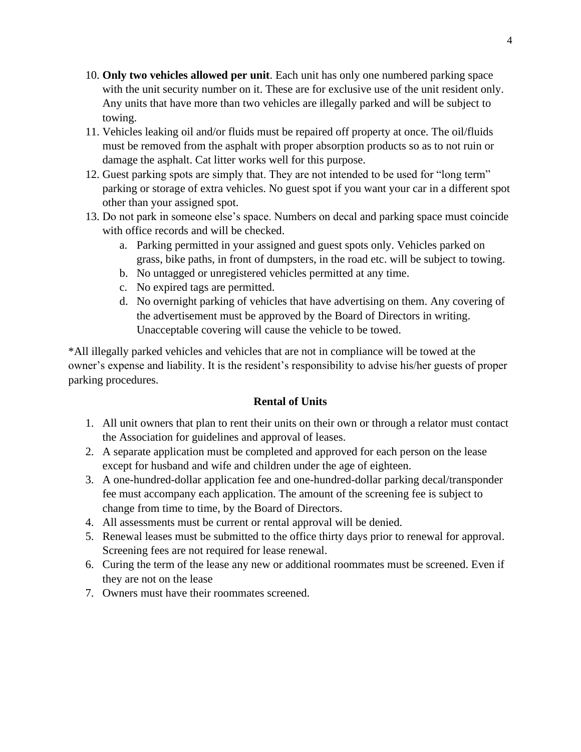- 10. **Only two vehicles allowed per unit**. Each unit has only one numbered parking space with the unit security number on it. These are for exclusive use of the unit resident only. Any units that have more than two vehicles are illegally parked and will be subject to towing.
- 11. Vehicles leaking oil and/or fluids must be repaired off property at once. The oil/fluids must be removed from the asphalt with proper absorption products so as to not ruin or damage the asphalt. Cat litter works well for this purpose.
- 12. Guest parking spots are simply that. They are not intended to be used for "long term" parking or storage of extra vehicles. No guest spot if you want your car in a different spot other than your assigned spot.
- 13. Do not park in someone else's space. Numbers on decal and parking space must coincide with office records and will be checked.
	- a. Parking permitted in your assigned and guest spots only. Vehicles parked on grass, bike paths, in front of dumpsters, in the road etc. will be subject to towing.
	- b. No untagged or unregistered vehicles permitted at any time.
	- c. No expired tags are permitted.
	- d. No overnight parking of vehicles that have advertising on them. Any covering of the advertisement must be approved by the Board of Directors in writing. Unacceptable covering will cause the vehicle to be towed.

\*All illegally parked vehicles and vehicles that are not in compliance will be towed at the owner's expense and liability. It is the resident's responsibility to advise his/her guests of proper parking procedures.

# **Rental of Units**

- 1. All unit owners that plan to rent their units on their own or through a relator must contact the Association for guidelines and approval of leases.
- 2. A separate application must be completed and approved for each person on the lease except for husband and wife and children under the age of eighteen.
- 3. A one-hundred-dollar application fee and one-hundred-dollar parking decal/transponder fee must accompany each application. The amount of the screening fee is subject to change from time to time, by the Board of Directors.
- 4. All assessments must be current or rental approval will be denied.
- 5. Renewal leases must be submitted to the office thirty days prior to renewal for approval. Screening fees are not required for lease renewal.
- 6. Curing the term of the lease any new or additional roommates must be screened. Even if they are not on the lease
- 7. Owners must have their roommates screened.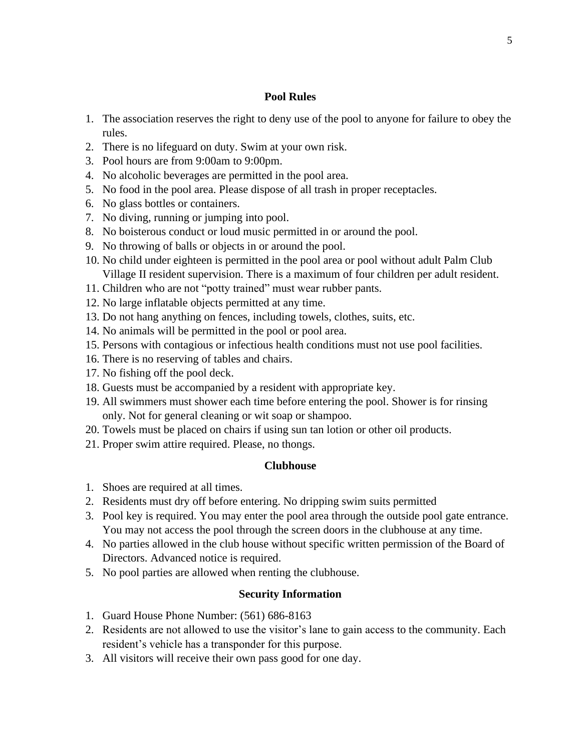## **Pool Rules**

- 1. The association reserves the right to deny use of the pool to anyone for failure to obey the rules.
- 2. There is no lifeguard on duty. Swim at your own risk.
- 3. Pool hours are from 9:00am to 9:00pm.
- 4. No alcoholic beverages are permitted in the pool area.
- 5. No food in the pool area. Please dispose of all trash in proper receptacles.
- 6. No glass bottles or containers.
- 7. No diving, running or jumping into pool.
- 8. No boisterous conduct or loud music permitted in or around the pool.
- 9. No throwing of balls or objects in or around the pool.
- 10. No child under eighteen is permitted in the pool area or pool without adult Palm Club Village II resident supervision. There is a maximum of four children per adult resident.
- 11. Children who are not "potty trained" must wear rubber pants.
- 12. No large inflatable objects permitted at any time.
- 13. Do not hang anything on fences, including towels, clothes, suits, etc.
- 14. No animals will be permitted in the pool or pool area.
- 15. Persons with contagious or infectious health conditions must not use pool facilities.
- 16. There is no reserving of tables and chairs.
- 17. No fishing off the pool deck.
- 18. Guests must be accompanied by a resident with appropriate key.
- 19. All swimmers must shower each time before entering the pool. Shower is for rinsing only. Not for general cleaning or wit soap or shampoo.
- 20. Towels must be placed on chairs if using sun tan lotion or other oil products.
- 21. Proper swim attire required. Please, no thongs.

#### **Clubhouse**

- 1. Shoes are required at all times.
- 2. Residents must dry off before entering. No dripping swim suits permitted
- 3. Pool key is required. You may enter the pool area through the outside pool gate entrance. You may not access the pool through the screen doors in the clubhouse at any time.
- 4. No parties allowed in the club house without specific written permission of the Board of Directors. Advanced notice is required.
- 5. No pool parties are allowed when renting the clubhouse.

#### **Security Information**

- 1. Guard House Phone Number: (561) 686-8163
- 2. Residents are not allowed to use the visitor's lane to gain access to the community. Each resident's vehicle has a transponder for this purpose.
- 3. All visitors will receive their own pass good for one day.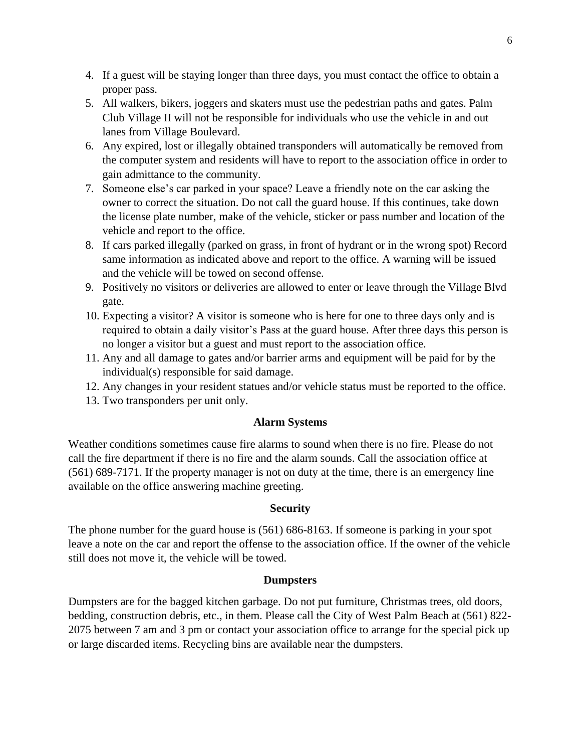- 4. If a guest will be staying longer than three days, you must contact the office to obtain a proper pass.
- 5. All walkers, bikers, joggers and skaters must use the pedestrian paths and gates. Palm Club Village II will not be responsible for individuals who use the vehicle in and out lanes from Village Boulevard.
- 6. Any expired, lost or illegally obtained transponders will automatically be removed from the computer system and residents will have to report to the association office in order to gain admittance to the community.
- 7. Someone else's car parked in your space? Leave a friendly note on the car asking the owner to correct the situation. Do not call the guard house. If this continues, take down the license plate number, make of the vehicle, sticker or pass number and location of the vehicle and report to the office.
- 8. If cars parked illegally (parked on grass, in front of hydrant or in the wrong spot) Record same information as indicated above and report to the office. A warning will be issued and the vehicle will be towed on second offense.
- 9. Positively no visitors or deliveries are allowed to enter or leave through the Village Blvd gate.
- 10. Expecting a visitor? A visitor is someone who is here for one to three days only and is required to obtain a daily visitor's Pass at the guard house. After three days this person is no longer a visitor but a guest and must report to the association office.
- 11. Any and all damage to gates and/or barrier arms and equipment will be paid for by the individual(s) responsible for said damage.
- 12. Any changes in your resident statues and/or vehicle status must be reported to the office.
- 13. Two transponders per unit only.

# **Alarm Systems**

Weather conditions sometimes cause fire alarms to sound when there is no fire. Please do not call the fire department if there is no fire and the alarm sounds. Call the association office at (561) 689-7171. If the property manager is not on duty at the time, there is an emergency line available on the office answering machine greeting.

# **Security**

The phone number for the guard house is (561) 686-8163. If someone is parking in your spot leave a note on the car and report the offense to the association office. If the owner of the vehicle still does not move it, the vehicle will be towed.

## **Dumpsters**

Dumpsters are for the bagged kitchen garbage. Do not put furniture, Christmas trees, old doors, bedding, construction debris, etc., in them. Please call the City of West Palm Beach at (561) 822- 2075 between 7 am and 3 pm or contact your association office to arrange for the special pick up or large discarded items. Recycling bins are available near the dumpsters.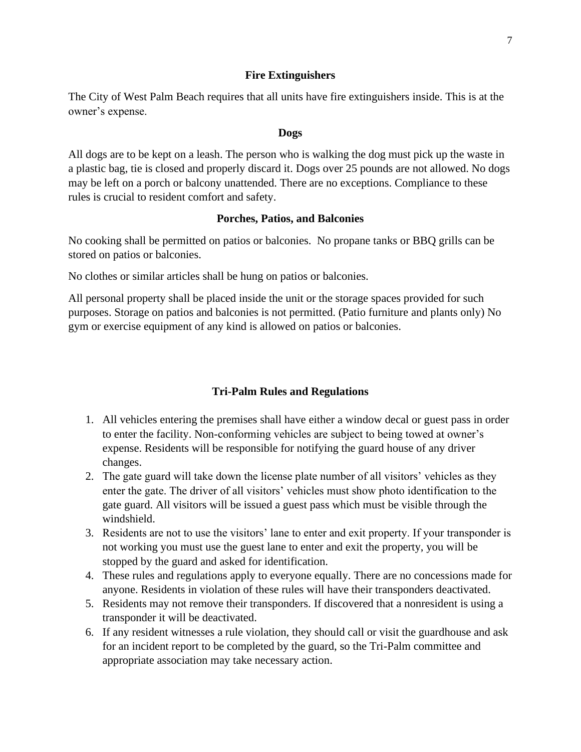#### **Fire Extinguishers**

The City of West Palm Beach requires that all units have fire extinguishers inside. This is at the owner's expense.

#### **Dogs**

All dogs are to be kept on a leash. The person who is walking the dog must pick up the waste in a plastic bag, tie is closed and properly discard it. Dogs over 25 pounds are not allowed. No dogs may be left on a porch or balcony unattended. There are no exceptions. Compliance to these rules is crucial to resident comfort and safety.

### **Porches, Patios, and Balconies**

No cooking shall be permitted on patios or balconies. No propane tanks or BBQ grills can be stored on patios or balconies.

No clothes or similar articles shall be hung on patios or balconies.

All personal property shall be placed inside the unit or the storage spaces provided for such purposes. Storage on patios and balconies is not permitted. (Patio furniture and plants only) No gym or exercise equipment of any kind is allowed on patios or balconies.

#### **Tri-Palm Rules and Regulations**

- 1. All vehicles entering the premises shall have either a window decal or guest pass in order to enter the facility. Non-conforming vehicles are subject to being towed at owner's expense. Residents will be responsible for notifying the guard house of any driver changes.
- 2. The gate guard will take down the license plate number of all visitors' vehicles as they enter the gate. The driver of all visitors' vehicles must show photo identification to the gate guard. All visitors will be issued a guest pass which must be visible through the windshield.
- 3. Residents are not to use the visitors' lane to enter and exit property. If your transponder is not working you must use the guest lane to enter and exit the property, you will be stopped by the guard and asked for identification.
- 4. These rules and regulations apply to everyone equally. There are no concessions made for anyone. Residents in violation of these rules will have their transponders deactivated.
- 5. Residents may not remove their transponders. If discovered that a nonresident is using a transponder it will be deactivated.
- 6. If any resident witnesses a rule violation, they should call or visit the guardhouse and ask for an incident report to be completed by the guard, so the Tri-Palm committee and appropriate association may take necessary action.